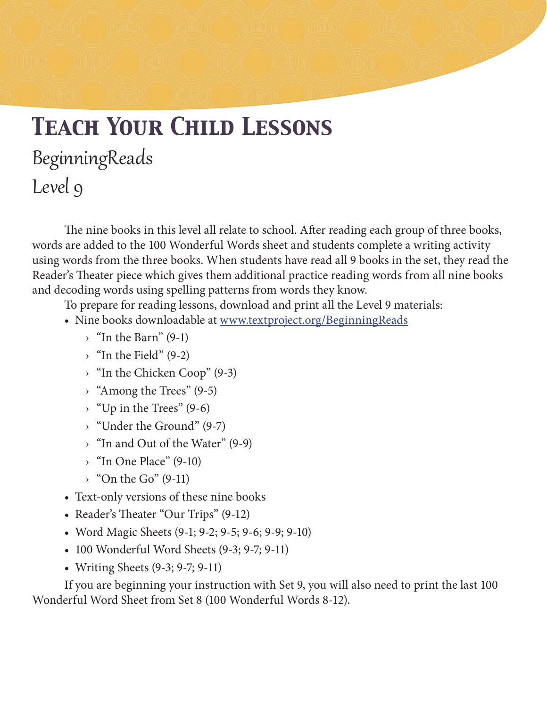# *Teach Your Child Lessons* BeginningReads Level 9

The nine books in this level all relate to school. After reading each group of three books, words are added to the 100 Wonderful Words sheet and students complete a writing activity using words from the three books. When students have read all 9 books in the set, they read the Reader's Theater piece which gives them additional practice reading words from all nine books and decoding words using spelling patterns from words they know.

To prepare for reading lessons, download and print all the Level 9 materials:

- Nine books downloadable at www.textproject.org/BeginningReads
	- $\rightarrow$  "In the Barn" (9-1)
	- $\rightarrow$  "In the Field" (9-2)
	- › "In the Chicken Coop" (9-3)
	- › "Among the Trees" (9-5)
	- $\rightarrow$  "Up in the Trees" (9-6)
	- › "Under the Ground" (9-7)
	- › "In and Out of the Water" (9-9)
	- $\rightarrow$  "In One Place" (9-10)
	- $\rightarrow$  "On the Go" (9-11)
- Text-only versions of these nine books
- Reader's Theater "Our Trips" (9-12)
- Word Magic Sheets (9-1; 9-2; 9-5; 9-6; 9-9; 9-10)
- 100 Wonderful Word Sheets (9-3; 9-7; 9-11)
- Writing Sheets (9-3; 9-7; 9-11)

If you are beginning your instruction with Set 9, you will also need to print the last 100 Wonderful Word Sheet from Set 8 (100 Wonderful Words 8-12).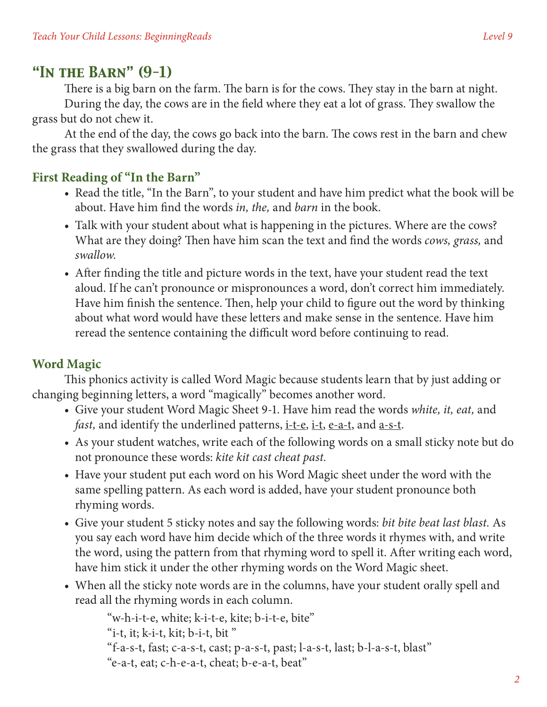# *"In the Barn" (9-1)*

There is a big barn on the farm. The barn is for the cows. They stay in the barn at night. During the day, the cows are in the field where they eat a lot of grass. They swallow the grass but do not chew it.

At the end of the day, the cows go back into the barn. The cows rest in the barn and chew the grass that they swallowed during the day.

#### **First Reading of "In the Barn"**

- Read the title, "In the Barn", to your student and have him predict what the book will be about. Have him find the words *in, the,* and *barn* in the book.
- Talk with your student about what is happening in the pictures. Where are the cows? What are they doing? Then have him scan the text and find the words *cows, grass,* and *swallow.*
- After finding the title and picture words in the text, have your student read the text aloud. If he can't pronounce or mispronounces a word, don't correct him immediately. Have him finish the sentence. Then, help your child to figure out the word by thinking about what word would have these letters and make sense in the sentence. Have him reread the sentence containing the difficult word before continuing to read.

## **Word Magic**

This phonics activity is called Word Magic because students learn that by just adding or changing beginning letters, a word "magically" becomes another word.

- • Give your student Word Magic Sheet 9-1. Have him read the words *white, it, eat,* and *fast*, and identify the underlined patterns, <u>i-t-e</u>, i-t, e-a-t, and a-s-t.
- As your student watches, write each of the following words on a small sticky note but do not pronounce these words: *kite kit cast cheat past.*
- Have your student put each word on his Word Magic sheet under the word with the same spelling pattern. As each word is added, have your student pronounce both rhyming words.
- • Give your student 5 sticky notes and say the following words: *bit bite beat last blast.* As you say each word have him decide which of the three words it rhymes with, and write the word, using the pattern from that rhyming word to spell it. After writing each word, have him stick it under the other rhyming words on the Word Magic sheet.
- When all the sticky note words are in the columns, have your student orally spell and read all the rhyming words in each column.

"w-h-i-t-e, white; k-i-t-e, kite; b-i-t-e, bite"

"i-t, it;  $k$ -i-t,  $k$ it;  $b$ -i-t,  $bit$ "

"f-a-s-t, fast; c-a-s-t, cast; p-a-s-t, past; l-a-s-t, last; b-l-a-s-t, blast"

"e-a-t, eat; c-h-e-a-t, cheat; b-e-a-t, beat"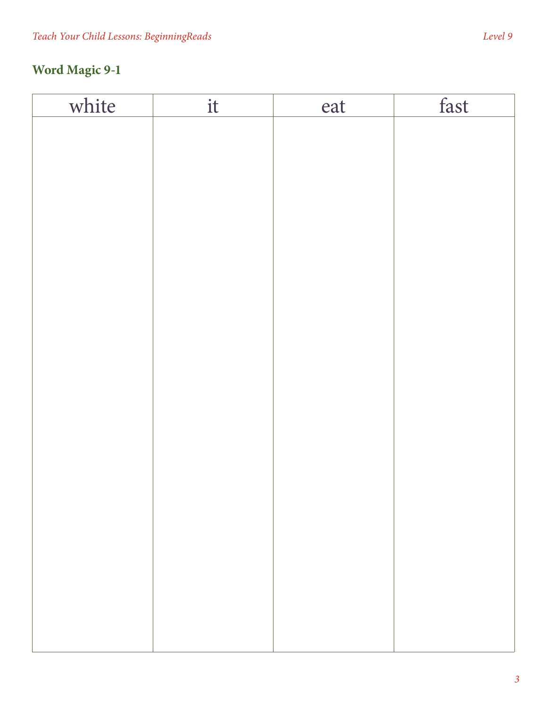| white | it | eat | fast |
|-------|----|-----|------|
|       |    |     |      |
|       |    |     |      |
|       |    |     |      |
|       |    |     |      |
|       |    |     |      |
|       |    |     |      |
|       |    |     |      |
|       |    |     |      |
|       |    |     |      |
|       |    |     |      |
|       |    |     |      |
|       |    |     |      |
|       |    |     |      |
|       |    |     |      |
|       |    |     |      |
|       |    |     |      |
|       |    |     |      |
|       |    |     |      |
|       |    |     |      |
|       |    |     |      |
|       |    |     |      |
|       |    |     |      |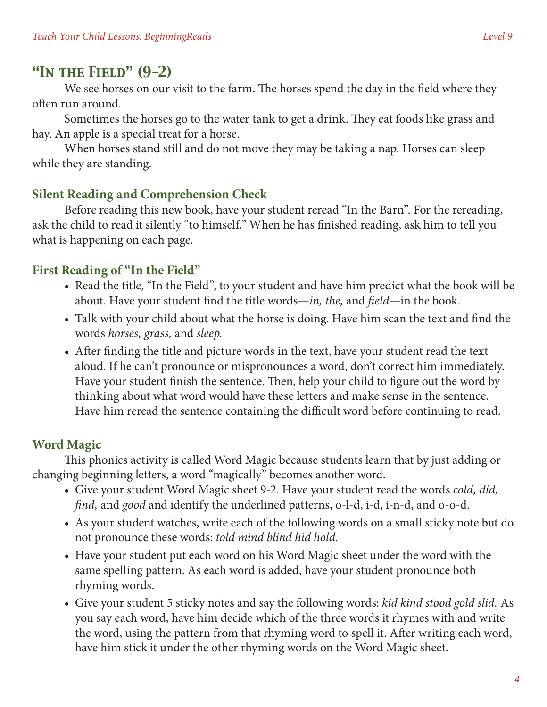## *"In the Field" (9-2)*

We see horses on our visit to the farm. The horses spend the day in the field where they often run around.

Sometimes the horses go to the water tank to get a drink. They eat foods like grass and hay. An apple is a special treat for a horse.

When horses stand still and do not move they may be taking a nap. Horses can sleep while they are standing.

#### **Silent Reading and Comprehension Check**

Before reading this new book, have your student reread "In the Barn". For the rereading, ask the child to read it silently "to himself." When he has finished reading, ask him to tell you what is happening on each page.

#### **First Reading of "In the Field"**

- Read the title, "In the Field", to your student and have him predict what the book will be about. Have your student find the title words—*in, the,* and *field*—in the book.
- Talk with your child about what the horse is doing. Have him scan the text and find the words *horses, grass,* and *sleep.*
- After finding the title and picture words in the text, have your student read the text aloud. If he can't pronounce or mispronounces a word, don't correct him immediately. Have your student finish the sentence. Then, help your child to figure out the word by thinking about what word would have these letters and make sense in the sentence. Have him reread the sentence containing the difficult word before continuing to read.

#### **Word Magic**

This phonics activity is called Word Magic because students learn that by just adding or changing beginning letters, a word "magically" becomes another word.

- • Give your student Word Magic sheet 9-2. Have your student read the words *cold, did, find*, and *good* and identify the underlined patterns, <u>o-l-d, i-d, i-n-d</u>, and <u>o-o-d</u>.
- As your student watches, write each of the following words on a small sticky note but do not pronounce these words: *told mind blind hid hold.*
- Have your student put each word on his Word Magic sheet under the word with the same spelling pattern. As each word is added, have your student pronounce both rhyming words.
- • Give your student 5 sticky notes and say the following words: *kid kind stood gold slid.* As you say each word, have him decide which of the three words it rhymes with and write the word, using the pattern from that rhyming word to spell it. After writing each word, have him stick it under the other rhyming words on the Word Magic sheet.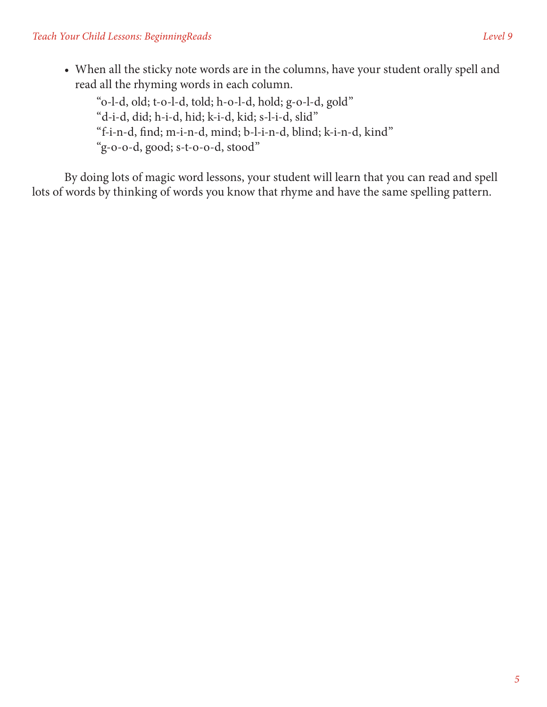"o-l-d, old; t-o-l-d, told; h-o-l-d, hold; g-o-l-d, gold" "d-i-d, did; h-i-d, hid; k-i-d, kid; s-l-i-d, slid" "f-i-n-d, find; m-i-n-d, mind; b-l-i-n-d, blind; k-i-n-d, kind" "g-o-o-d, good; s-t-o-o-d, stood"

By doing lots of magic word lessons, your student will learn that you can read and spell lots of words by thinking of words you know that rhyme and have the same spelling pattern.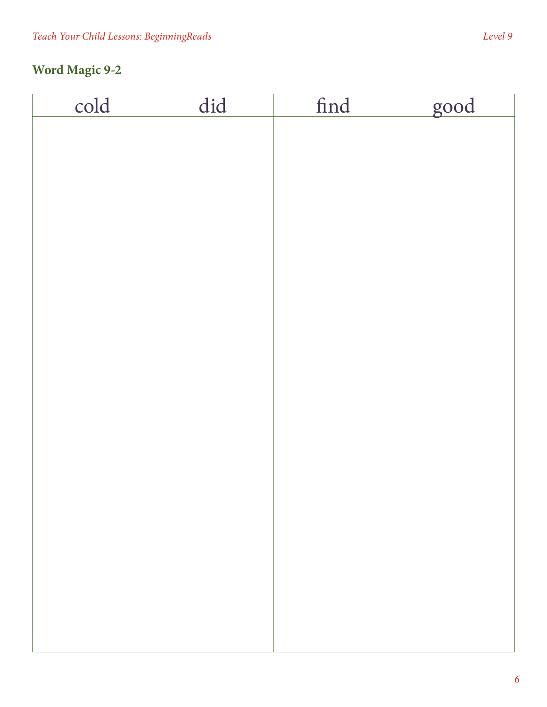# **Word Magic 9-2**

| cold | $\overline{did}$ | find | good |
|------|------------------|------|------|
|      |                  |      |      |
|      |                  |      |      |
|      |                  |      |      |
|      |                  |      |      |
|      |                  |      |      |
|      |                  |      |      |
|      |                  |      |      |
|      |                  |      |      |
|      |                  |      |      |
|      |                  |      |      |
|      |                  |      |      |
|      |                  |      |      |
|      |                  |      |      |
|      |                  |      |      |
|      |                  |      |      |
|      |                  |      |      |
|      |                  |      |      |
|      |                  |      |      |
|      |                  |      |      |
|      |                  |      |      |
|      |                  |      |      |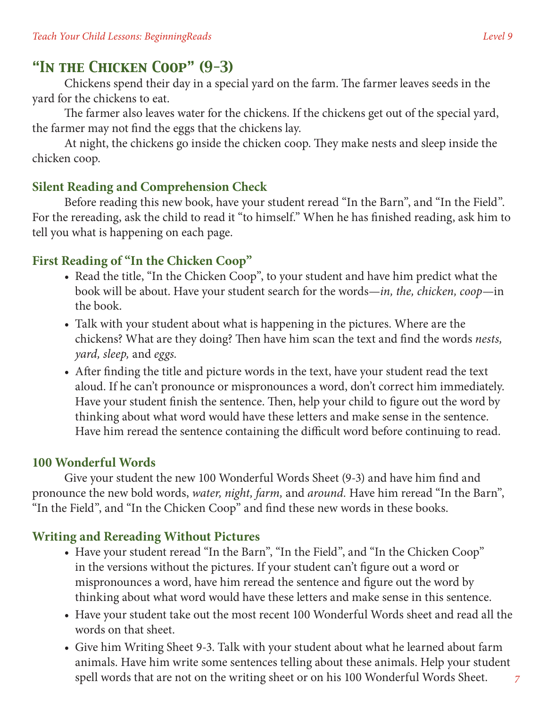# *"In the Chicken Coop" (9-3)*

Chickens spend their day in a special yard on the farm. The farmer leaves seeds in the yard for the chickens to eat.

The farmer also leaves water for the chickens. If the chickens get out of the special yard, the farmer may not find the eggs that the chickens lay.

At night, the chickens go inside the chicken coop. They make nests and sleep inside the chicken coop.

## **Silent Reading and Comprehension Check**

Before reading this new book, have your student reread "In the Barn", and "In the Field". For the rereading, ask the child to read it "to himself." When he has finished reading, ask him to tell you what is happening on each page.

#### **First Reading of "In the Chicken Coop"**

- Read the title, "In the Chicken Coop", to your student and have him predict what the book will be about. Have your student search for the words—*in, the, chicken, coop*—in the book.
- Talk with your student about what is happening in the pictures. Where are the chickens? What are they doing? Then have him scan the text and find the words *nests, yard, sleep,* and *eggs.*
- After finding the title and picture words in the text, have your student read the text aloud. If he can't pronounce or mispronounces a word, don't correct him immediately. Have your student finish the sentence. Then, help your child to figure out the word by thinking about what word would have these letters and make sense in the sentence. Have him reread the sentence containing the difficult word before continuing to read.

#### **100 Wonderful Words**

Give your student the new 100 Wonderful Words Sheet (9-3) and have him find and pronounce the new bold words, *water, night, farm,* and *around.* Have him reread "In the Barn", "In the Field", and "In the Chicken Coop" and find these new words in these books.

## **Writing and Rereading Without Pictures**

- Have your student reread "In the Barn", "In the Field", and "In the Chicken Coop" in the versions without the pictures. If your student can't figure out a word or mispronounces a word, have him reread the sentence and figure out the word by thinking about what word would have these letters and make sense in this sentence.
- Have your student take out the most recent 100 Wonderful Words sheet and read all the words on that sheet.
- Give him Writing Sheet 9-3. Talk with your student about what he learned about farm animals. Have him write some sentences telling about these animals. Help your student spell words that are not on the writing sheet or on his 100 Wonderful Words Sheet.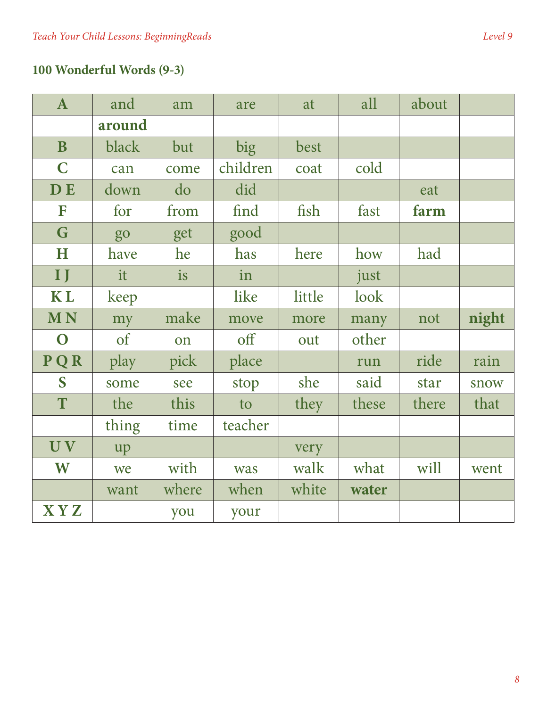# **100 Wonderful Words (9-3)**

| $\mathbf{A}$ | and        | am    | are      | at     | all   | about |       |
|--------------|------------|-------|----------|--------|-------|-------|-------|
|              | around     |       |          |        |       |       |       |
| $\mathbf{B}$ | black      | but   | big      | best   |       |       |       |
| $\mathbf C$  | can        | come  | children | coat   | cold  |       |       |
| <b>DE</b>    | down       | do    | did      |        |       | eat   |       |
| F            | for        | from  | find     | fish   | fast  | farm  |       |
| G            | go         | get   | good     |        |       |       |       |
| H            | have       | he    | has      | here   | how   | had   |       |
| $\mathbf{I}$ | it         | is    | in       |        | just  |       |       |
| <b>KL</b>    | keep       |       | like     | little | look  |       |       |
| <b>MN</b>    | my         | make  | move     | more   | many  | not   | night |
| $\mathbf O$  | $\sigma f$ | on    | off      | out    | other |       |       |
| PQR          | play       |       |          |        |       |       |       |
|              |            | pick  | place    |        | run   | ride  | rain  |
| S            | some       | see   | stop     | she    | said  | star  | snow  |
| T            | the        | this  | to       | they   | these | there | that  |
|              | thing      | time  | teacher  |        |       |       |       |
| UV           | up         |       |          | very   |       |       |       |
| W            | we         | with  | was      | walk   | what  | will  | went  |
|              | want       | where | when     | white  | water |       |       |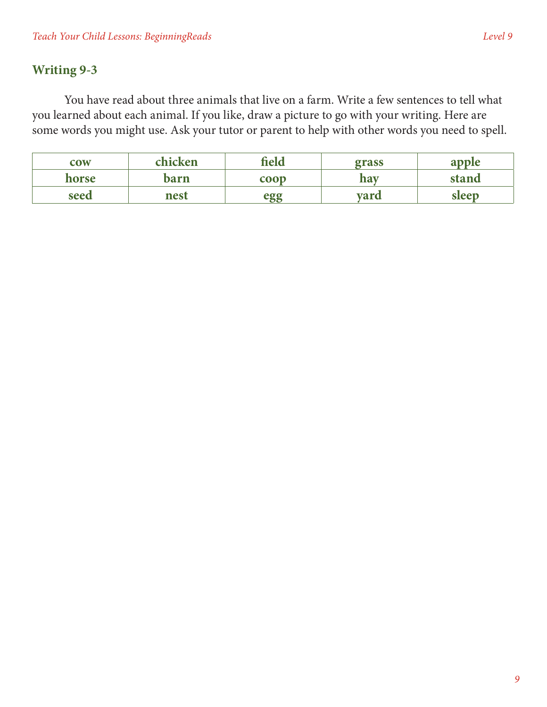#### **Writing 9-3**

You have read about three animals that live on a farm. Write a few sentences to tell what you learned about each animal. If you like, draw a picture to go with your writing. Here are some words you might use. Ask your tutor or parent to help with other words you need to spell.

| <b>COW</b> | chicken | field       | grass       | apple |
|------------|---------|-------------|-------------|-------|
| horse      | barn    | $\bf{coop}$ | hav         | stand |
| seed       | nest    | ρσσ         | <b>vard</b> | sleep |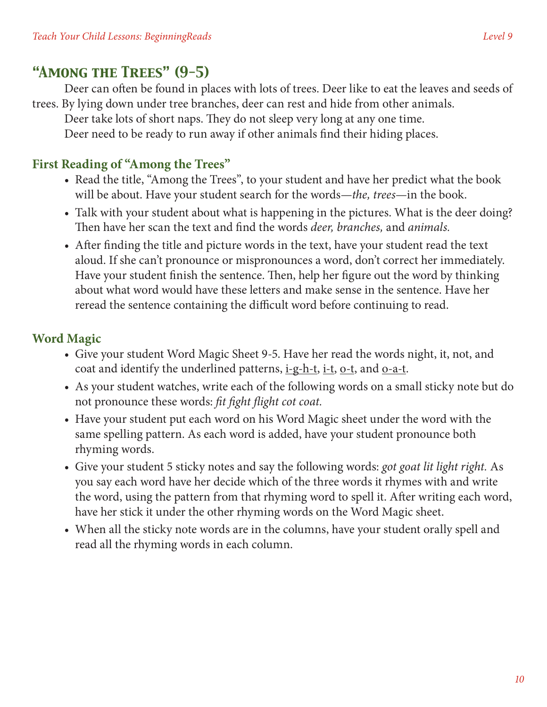Deer can often be found in places with lots of trees. Deer like to eat the leaves and seeds of trees. By lying down under tree branches, deer can rest and hide from other animals.

Deer take lots of short naps. They do not sleep very long at any one time. Deer need to be ready to run away if other animals find their hiding places.

## **First Reading of "Among the Trees"**

- Read the title, "Among the Trees", to your student and have her predict what the book will be about. Have your student search for the words—*the, trees*—in the book.
- Talk with your student about what is happening in the pictures. What is the deer doing? Then have her scan the text and find the words *deer, branches,* and *animals.*
- After finding the title and picture words in the text, have your student read the text aloud. If she can't pronounce or mispronounces a word, don't correct her immediately. Have your student finish the sentence. Then, help her figure out the word by thinking about what word would have these letters and make sense in the sentence. Have her reread the sentence containing the difficult word before continuing to read.

# **Word Magic**

- Give your student Word Magic Sheet 9-5. Have her read the words night, it, not, and coat and identify the underlined patterns, i-g-h-t, i-t, o-t, and o-a-t.
- As your student watches, write each of the following words on a small sticky note but do not pronounce these words: *fit fight flight cot coat.*
- Have your student put each word on his Word Magic sheet under the word with the same spelling pattern. As each word is added, have your student pronounce both rhyming words.
- • Give your student 5 sticky notes and say the following words: *got goat lit light right.* As you say each word have her decide which of the three words it rhymes with and write the word, using the pattern from that rhyming word to spell it. After writing each word, have her stick it under the other rhyming words on the Word Magic sheet.
- When all the sticky note words are in the columns, have your student orally spell and read all the rhyming words in each column.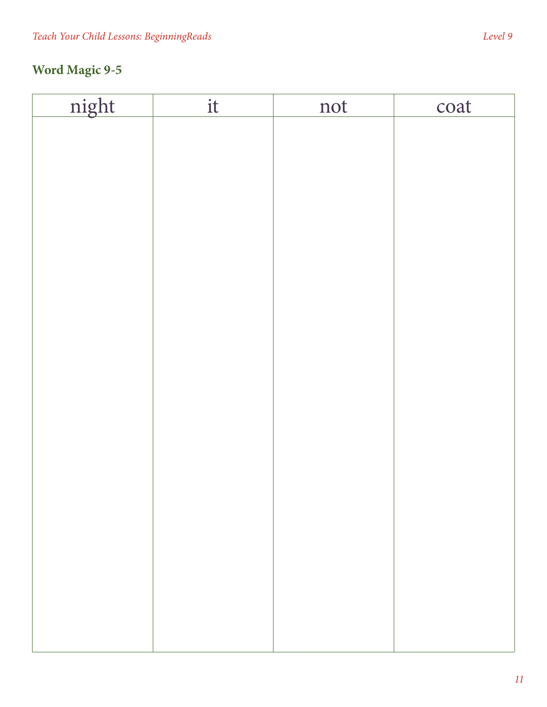| night | $\mathbf{it}$ | not | coat |
|-------|---------------|-----|------|
|       |               |     |      |
|       |               |     |      |
|       |               |     |      |
|       |               |     |      |
|       |               |     |      |
|       |               |     |      |
|       |               |     |      |
|       |               |     |      |
|       |               |     |      |
|       |               |     |      |
|       |               |     |      |
|       |               |     |      |
|       |               |     |      |
|       |               |     |      |
|       |               |     |      |
|       |               |     |      |
|       |               |     |      |
|       |               |     |      |
|       |               |     |      |
|       |               |     |      |
|       |               |     |      |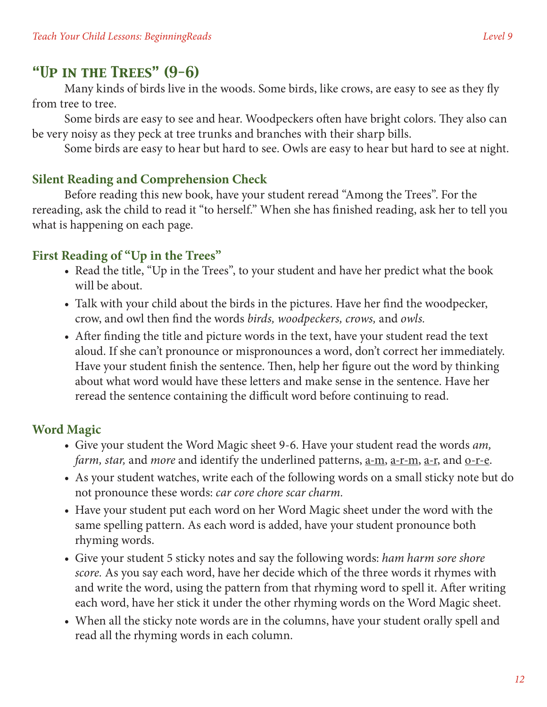## *"Up in the Trees" (9-6)*

Many kinds of birds live in the woods. Some birds, like crows, are easy to see as they fly from tree to tree.

Some birds are easy to see and hear. Woodpeckers often have bright colors. They also can be very noisy as they peck at tree trunks and branches with their sharp bills.

Some birds are easy to hear but hard to see. Owls are easy to hear but hard to see at night.

#### **Silent Reading and Comprehension Check**

Before reading this new book, have your student reread "Among the Trees". For the rereading, ask the child to read it "to herself." When she has finished reading, ask her to tell you what is happening on each page.

#### **First Reading of "Up in the Trees"**

- Read the title, "Up in the Trees", to your student and have her predict what the book will be about.
- Talk with your child about the birds in the pictures. Have her find the woodpecker, crow, and owl then find the words *birds, woodpeckers, crows,* and *owls.*
- After finding the title and picture words in the text, have your student read the text aloud. If she can't pronounce or mispronounces a word, don't correct her immediately. Have your student finish the sentence. Then, help her figure out the word by thinking about what word would have these letters and make sense in the sentence. Have her reread the sentence containing the difficult word before continuing to read.

#### **Word Magic**

- • Give your student the Word Magic sheet 9-6. Have your student read the words *am, farm, star, and more and identify the underlined patterns, a-m, a-r-m, a-r, and o-r-e.*
- As your student watches, write each of the following words on a small sticky note but do not pronounce these words: *car core chore scar charm.*
- Have your student put each word on her Word Magic sheet under the word with the same spelling pattern. As each word is added, have your student pronounce both rhyming words.
- • Give your student 5 sticky notes and say the following words: *ham harm sore shore score.* As you say each word, have her decide which of the three words it rhymes with and write the word, using the pattern from that rhyming word to spell it. After writing each word, have her stick it under the other rhyming words on the Word Magic sheet.
- When all the sticky note words are in the columns, have your student orally spell and read all the rhyming words in each column.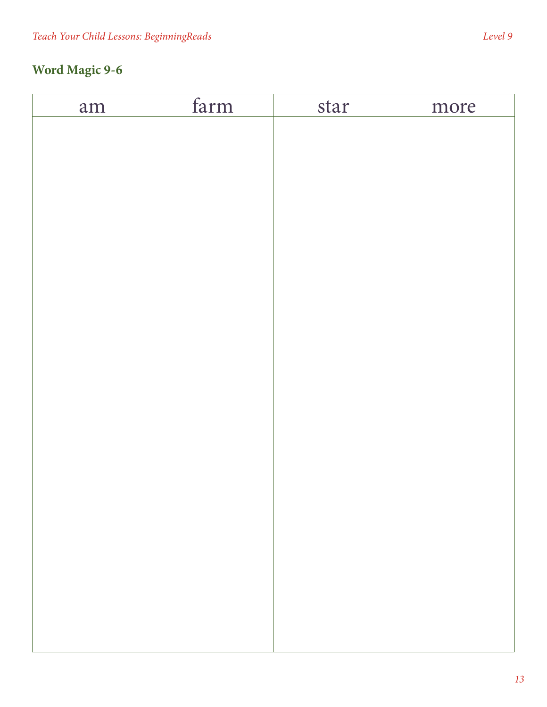# **Word Magic 9-6**

| am | farm | star | more |
|----|------|------|------|
|    |      |      |      |
|    |      |      |      |
|    |      |      |      |
|    |      |      |      |
|    |      |      |      |
|    |      |      |      |
|    |      |      |      |
|    |      |      |      |
|    |      |      |      |
|    |      |      |      |
|    |      |      |      |
|    |      |      |      |
|    |      |      |      |
|    |      |      |      |
|    |      |      |      |
|    |      |      |      |
|    |      |      |      |
|    |      |      |      |
|    |      |      |      |
|    |      |      |      |
|    |      |      |      |
|    |      |      |      |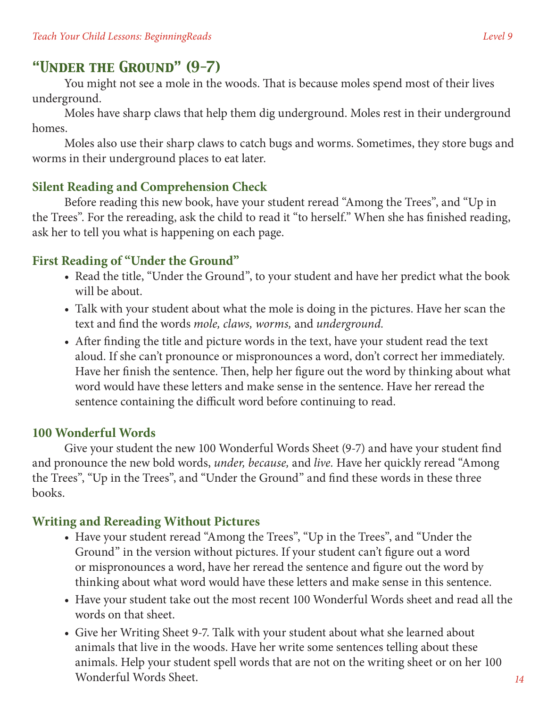# *"Under the Ground" (9-7)*

You might not see a mole in the woods. That is because moles spend most of their lives underground.

Moles have sharp claws that help them dig underground. Moles rest in their underground homes.

Moles also use their sharp claws to catch bugs and worms. Sometimes, they store bugs and worms in their underground places to eat later.

## **Silent Reading and Comprehension Check**

Before reading this new book, have your student reread "Among the Trees", and "Up in the Trees". For the rereading, ask the child to read it "to herself." When she has finished reading, ask her to tell you what is happening on each page.

#### **First Reading of "Under the Ground"**

- Read the title, "Under the Ground", to your student and have her predict what the book will be about.
- Talk with your student about what the mole is doing in the pictures. Have her scan the text and find the words *mole, claws, worms,* and *underground.*
- After finding the title and picture words in the text, have your student read the text aloud. If she can't pronounce or mispronounces a word, don't correct her immediately. Have her finish the sentence. Then, help her figure out the word by thinking about what word would have these letters and make sense in the sentence. Have her reread the sentence containing the difficult word before continuing to read.

#### **100 Wonderful Words**

Give your student the new 100 Wonderful Words Sheet (9-7) and have your student find and pronounce the new bold words, *under, because,* and *live.* Have her quickly reread "Among the Trees", "Up in the Trees", and "Under the Ground" and find these words in these three books.

## **Writing and Rereading Without Pictures**

- Have your student reread "Among the Trees", "Up in the Trees", and "Under the Ground" in the version without pictures. If your student can't figure out a word or mispronounces a word, have her reread the sentence and figure out the word by thinking about what word would have these letters and make sense in this sentence.
- Have your student take out the most recent 100 Wonderful Words sheet and read all the words on that sheet.
- Give her Writing Sheet 9-7. Talk with your student about what she learned about animals that live in the woods. Have her write some sentences telling about these animals. Help your student spell words that are not on the writing sheet or on her 100 Wonderful Words Sheet.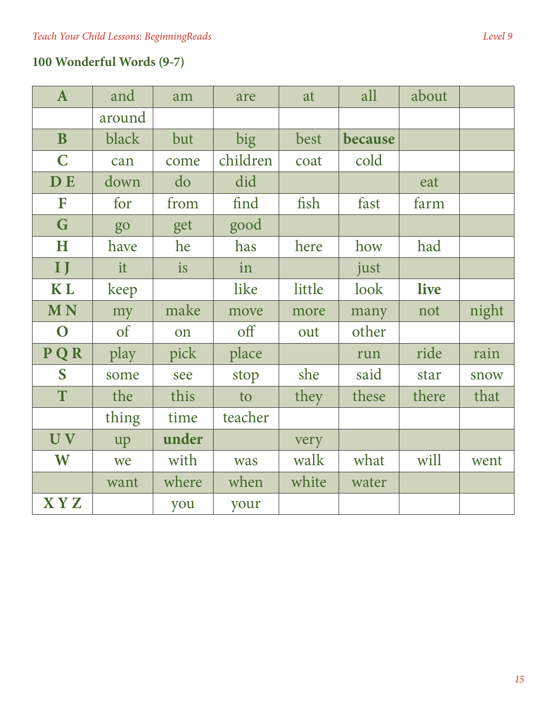| ${\bf A}$    | and           | am        | are      | at     | all     | about |       |
|--------------|---------------|-----------|----------|--------|---------|-------|-------|
|              | around        |           |          |        |         |       |       |
| $\mathbf{B}$ | black         | but       | big      | best   | because |       |       |
| $\mathbf C$  | can           | come      | children | coat   | cold    |       |       |
| <b>DE</b>    | down          | do        | did      |        |         | eat   |       |
| F            | for           | from      | find     | fish   | fast    | farm  |       |
| G            | go            | get       | good     |        |         |       |       |
| H            | have          | he        | has      | here   | how     | had   |       |
| $\mathbf{I}$ | it            | <i>is</i> | in       |        | just    |       |       |
| <b>KL</b>    | keep          |           | like     | little | look    | live  |       |
| <b>MN</b>    | my            | make      | move     | more   | many    | not   | night |
| $\mathbf O$  | <sub>of</sub> | on        | off      | out    | other   |       |       |
| PQR          | play          | pick      | place    |        | run     | ride  | rain  |
| S            | some          | see       | stop     | she    | said    | star  | snow  |
| T            | the           | this      | to       | they   | these   | there | that  |
|              | thing         | time      | teacher  |        |         |       |       |
| UV           | up            | under     |          | very   |         |       |       |
| W            | we            | with      | was      | walk   | what    | will  | went  |
|              | want          | where     | when     | white  | water   |       |       |
| <b>XYZ</b>   |               | you       | your     |        |         |       |       |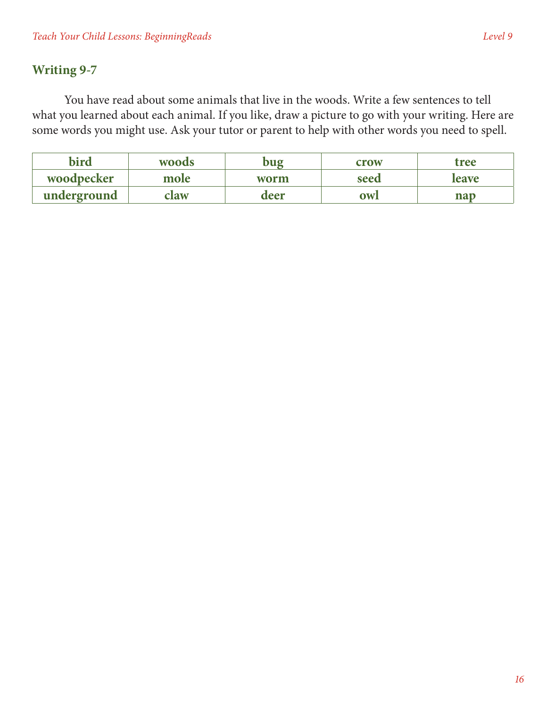#### **Writing 9-7**

You have read about some animals that live in the woods. Write a few sentences to tell what you learned about each animal. If you like, draw a picture to go with your writing. Here are some words you might use. Ask your tutor or parent to help with other words you need to spell.

| bird        | <b>woods</b> | oug  | crow      | tree         |
|-------------|--------------|------|-----------|--------------|
| woodpecker  | mole         | worm | seed      | <b>leave</b> |
| underground | claw         | deer | <b>OW</b> | nap          |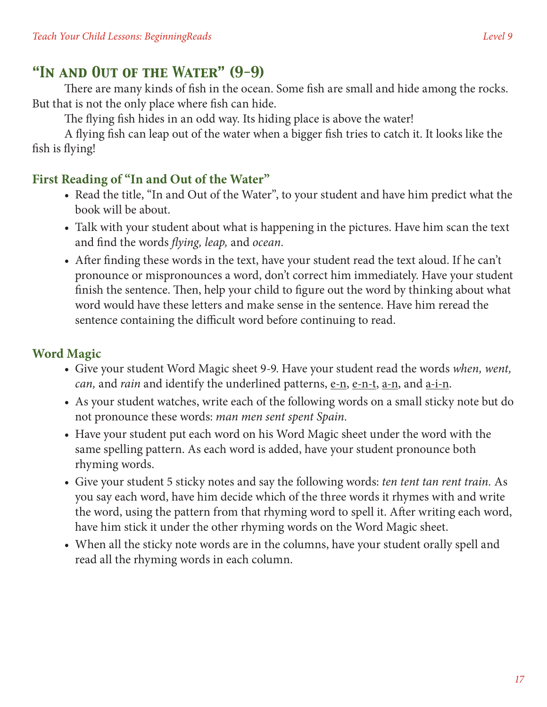# *"In and Out of the Water" (9-9)*

There are many kinds of fish in the ocean. Some fish are small and hide among the rocks. But that is not the only place where fish can hide.

The flying fish hides in an odd way. Its hiding place is above the water!

A flying fish can leap out of the water when a bigger fish tries to catch it. It looks like the fish is flying!

## **First Reading of "In and Out of the Water"**

- Read the title, "In and Out of the Water", to your student and have him predict what the book will be about.
- Talk with your student about what is happening in the pictures. Have him scan the text and find the words *flying, leap,* and *ocean.*
- After finding these words in the text, have your student read the text aloud. If he can't pronounce or mispronounces a word, don't correct him immediately. Have your student finish the sentence. Then, help your child to figure out the word by thinking about what word would have these letters and make sense in the sentence. Have him reread the sentence containing the difficult word before continuing to read.

## **Word Magic**

- • Give your student Word Magic sheet 9-9. Have your student read the words *when, went, can*, and *rain* and identify the underlined patterns, e-n, e-n-t, a-n, and a-i-n.
- As your student watches, write each of the following words on a small sticky note but do not pronounce these words: *man men sent spent Spain.*
- Have your student put each word on his Word Magic sheet under the word with the same spelling pattern. As each word is added, have your student pronounce both rhyming words.
- Give your student 5 sticky notes and say the following words: *ten tent tan rent train*. As you say each word, have him decide which of the three words it rhymes with and write the word, using the pattern from that rhyming word to spell it. After writing each word, have him stick it under the other rhyming words on the Word Magic sheet.
- When all the sticky note words are in the columns, have your student orally spell and read all the rhyming words in each column.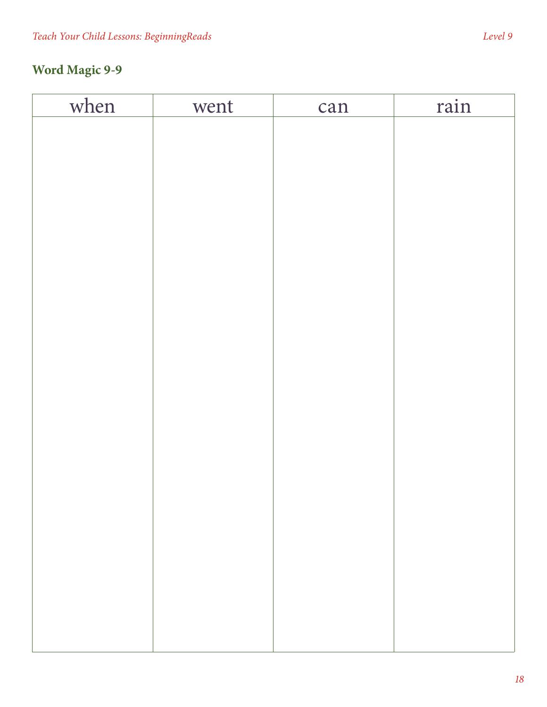# **Word Magic 9-9**

| when | went | can | rain |
|------|------|-----|------|
|      |      |     |      |
|      |      |     |      |
|      |      |     |      |
|      |      |     |      |
|      |      |     |      |
|      |      |     |      |
|      |      |     |      |
|      |      |     |      |
|      |      |     |      |
|      |      |     |      |
|      |      |     |      |
|      |      |     |      |
|      |      |     |      |
|      |      |     |      |
|      |      |     |      |
|      |      |     |      |
|      |      |     |      |
|      |      |     |      |
|      |      |     |      |
|      |      |     |      |
|      |      |     |      |
|      |      |     |      |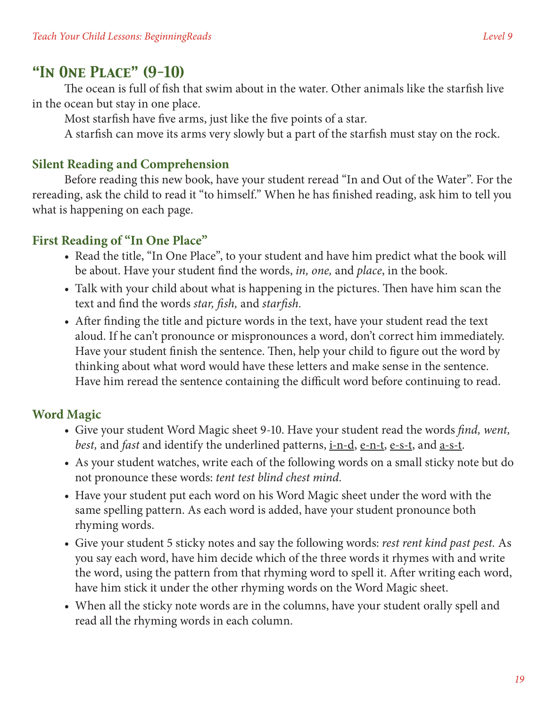#### *"In One Place" (9-10)*

The ocean is full of fish that swim about in the water. Other animals like the starfish live in the ocean but stay in one place.

Most starfish have five arms, just like the five points of a star.

A starfish can move its arms very slowly but a part of the starfish must stay on the rock.

#### **Silent Reading and Comprehension**

Before reading this new book, have your student reread "In and Out of the Water". For the rereading, ask the child to read it "to himself." When he has finished reading, ask him to tell you what is happening on each page.

#### **First Reading of "In One Place"**

- Read the title, "In One Place", to your student and have him predict what the book will be about. Have your student find the words, *in, one,* and *place*, in the book.
- Talk with your child about what is happening in the pictures. Then have him scan the text and find the words *star, fish,* and *starfish.*
- After finding the title and picture words in the text, have your student read the text aloud. If he can't pronounce or mispronounces a word, don't correct him immediately. Have your student finish the sentence. Then, help your child to figure out the word by thinking about what word would have these letters and make sense in the sentence. Have him reread the sentence containing the difficult word before continuing to read.

#### **Word Magic**

- • Give your student Word Magic sheet 9-10. Have your student read the words *find, went, best*, and *fast* and identify the underlined patterns, <u>i-n-d, e-n-t, e-s-t</u>, and <u>a-s-t</u>.
- As your student watches, write each of the following words on a small sticky note but do not pronounce these words: *tent test blind chest mind.*
- Have your student put each word on his Word Magic sheet under the word with the same spelling pattern. As each word is added, have your student pronounce both rhyming words.
- • Give your student 5 sticky notes and say the following words: *rest rent kind past pest.* As you say each word, have him decide which of the three words it rhymes with and write the word, using the pattern from that rhyming word to spell it. After writing each word, have him stick it under the other rhyming words on the Word Magic sheet.
- When all the sticky note words are in the columns, have your student orally spell and read all the rhyming words in each column.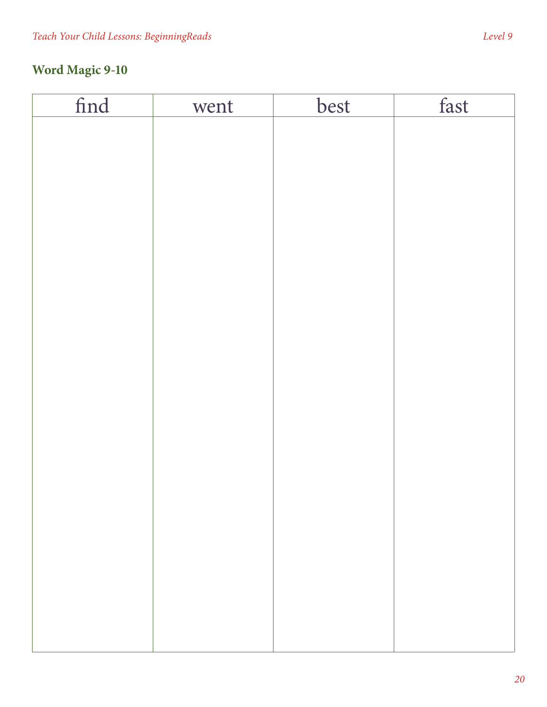# **Word Magic 9-10**

| find | went | best | fast |
|------|------|------|------|
|      |      |      |      |
|      |      |      |      |
|      |      |      |      |
|      |      |      |      |
|      |      |      |      |
|      |      |      |      |
|      |      |      |      |
|      |      |      |      |
|      |      |      |      |
|      |      |      |      |
|      |      |      |      |
|      |      |      |      |
|      |      |      |      |
|      |      |      |      |
|      |      |      |      |
|      |      |      |      |
|      |      |      |      |
|      |      |      |      |
|      |      |      |      |
|      |      |      |      |
|      |      |      |      |
|      |      |      |      |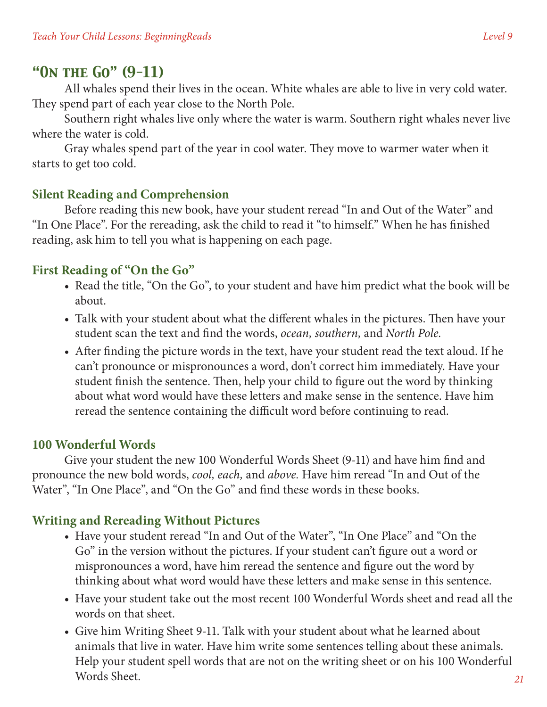## *"On the Go" (9-11)*

All whales spend their lives in the ocean. White whales are able to live in very cold water. They spend part of each year close to the North Pole.

Southern right whales live only where the water is warm. Southern right whales never live where the water is cold.

Gray whales spend part of the year in cool water. They move to warmer water when it starts to get too cold.

#### **Silent Reading and Comprehension**

Before reading this new book, have your student reread "In and Out of the Water" and "In One Place". For the rereading, ask the child to read it "to himself." When he has finished reading, ask him to tell you what is happening on each page.

#### **First Reading of "On the Go"**

- Read the title, "On the Go", to your student and have him predict what the book will be about.
- Talk with your student about what the different whales in the pictures. Then have your student scan the text and find the words, *ocean, southern,* and *North Pole.*
- After finding the picture words in the text, have your student read the text aloud. If he can't pronounce or mispronounces a word, don't correct him immediately. Have your student finish the sentence. Then, help your child to figure out the word by thinking about what word would have these letters and make sense in the sentence. Have him reread the sentence containing the difficult word before continuing to read.

#### **100 Wonderful Words**

Give your student the new 100 Wonderful Words Sheet (9-11) and have him find and pronounce the new bold words, *cool, each,* and *above.* Have him reread "In and Out of the Water", "In One Place", and "On the Go" and find these words in these books.

#### **Writing and Rereading Without Pictures**

- Have your student reread "In and Out of the Water", "In One Place" and "On the Go" in the version without the pictures. If your student can't figure out a word or mispronounces a word, have him reread the sentence and figure out the word by thinking about what word would have these letters and make sense in this sentence.
- Have your student take out the most recent 100 Wonderful Words sheet and read all the words on that sheet.
- Give him Writing Sheet 9-11. Talk with your student about what he learned about animals that live in water. Have him write some sentences telling about these animals. Help your student spell words that are not on the writing sheet or on his 100 Wonderful Words Sheet.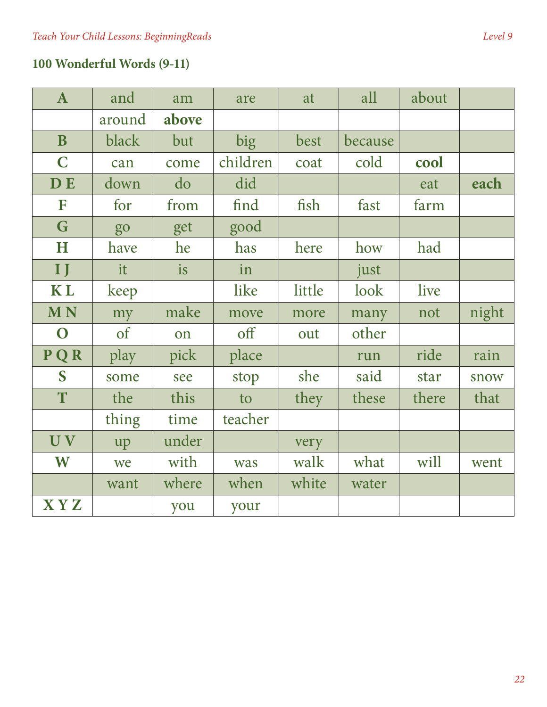# **100 Wonderful Words (9-11)**

| $\mathbf{A}$ | and        | am    | are      | at     | all     | about |       |
|--------------|------------|-------|----------|--------|---------|-------|-------|
|              | around     | above |          |        |         |       |       |
| $\mathbf{B}$ | black      | but   | big      | best   | because |       |       |
| $\mathbf C$  | can        | come  | children | coat   | cold    | cool  |       |
| <b>DE</b>    | down       | do    | did      |        |         | eat   | each  |
| F            | for        | from  | find     | fish   | fast    | farm  |       |
| G            | go         | get   | good     |        |         |       |       |
| H            | have       | he    | has      | here   | how     | had   |       |
| $\mathbf{I}$ | it         | is    | in       |        | just    |       |       |
| <b>KL</b>    | keep       |       | like     | little | look    | live  |       |
| <b>MN</b>    | my         | make  | move     | more   | many    | not   | night |
| $\mathbf O$  | $\sigma f$ | on    | off      | out    | other   |       |       |
| PQR          | play       | pick  | place    |        | run     | ride  | rain  |
| S            | some       | see   | stop     | she    | said    | star  | snow  |
| T            | the        | this  | to       | they   | these   | there | that  |
|              | thing      | time  | teacher  |        |         |       |       |
| UV           | up         | under |          | very   |         |       |       |
| W            | we         | with  | was      | walk   | what    | will  | went  |
|              | want       | where | when     | white  | water   |       |       |
| <b>XYZ</b>   |            | you   | your     |        |         |       |       |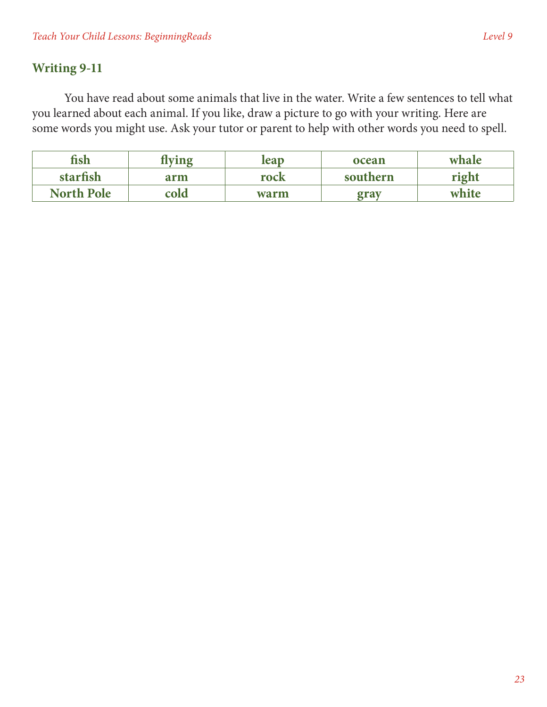#### **Writing 9-11**

You have read about some animals that live in the water. Write a few sentences to tell what you learned about each animal. If you like, draw a picture to go with your writing. Here are some words you might use. Ask your tutor or parent to help with other words you need to spell.

| fish              | lving | leap | ocean    | whale |
|-------------------|-------|------|----------|-------|
| starfish          | arm   | rock | southern | right |
| <b>North Pole</b> | cold  | warm | grav     | white |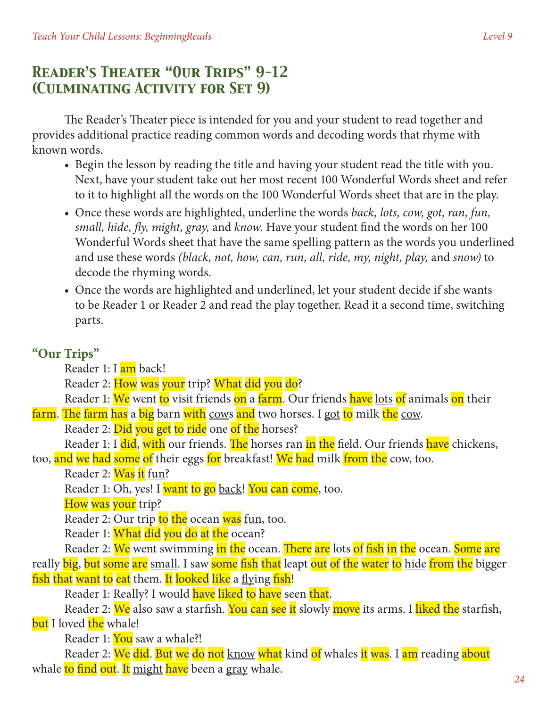# *Reader's Theater "Our Trips" 9-12 (Culminating Activity for Set 9)*

The Reader's Theater piece is intended for you and your student to read together and provides additional practice reading common words and decoding words that rhyme with known words.

- Begin the lesson by reading the title and having your student read the title with you. Next, have your student take out her most recent 100 Wonderful Words sheet and refer to it to highlight all the words on the 100 Wonderful Words sheet that are in the play.
- • Once these words are highlighted, underline the words *back, lots, cow, got, ran, fun, small, hide, fly, might, gray,* and *know.* Have your student find the words on her 100 Wonderful Words sheet that have the same spelling pattern as the words you underlined and use these words *(black, not, how, can, run, all, ride, my, night, play,* and *snow)* to decode the rhyming words.
- Once the words are highlighted and underlined, let your student decide if she wants to be Reader 1 or Reader 2 and read the play together. Read it a second time, switching parts.

#### **"Our Trips"**

Reader 1: I am back!

Reader 2: How was your trip? What did you do?

Reader 1: We went to visit friends on a farm. Our friends have lots of animals on their

farm. The farm has a big barn with cows and two horses. I got to milk the cow.

Reader 2: Did you get to ride one of the horses?

Reader 1: I did, with our friends. The horses ran in the field. Our friends have chickens,

too, and we had some of their eggs for breakfast! We had milk from the cow, too.

Reader 2: Was it fun?

Reader 1: Oh, yes! I want to go back! You can come, too.

How was your trip?

Reader 2: Our trip to the ocean was fun, too.

Reader 1: What did you do at the ocean?

Reader 2: We went swimming in the ocean. There are lots of fish in the ocean. Some are really big, but some are small. I saw some fish that leapt out of the water to hide from the bigger fish that want to eat them. It looked like a flying fish!

Reader 1: Really? I would have liked to have seen that.

Reader 2: We also saw a starfish. You can see it slowly move its arms. I liked the starfish, but I loved the whale!

Reader 1: You saw a whale?!

Reader 2: We did. But we do not know what kind of whales it was. I am reading about whale to find out. It might have been a gray whale.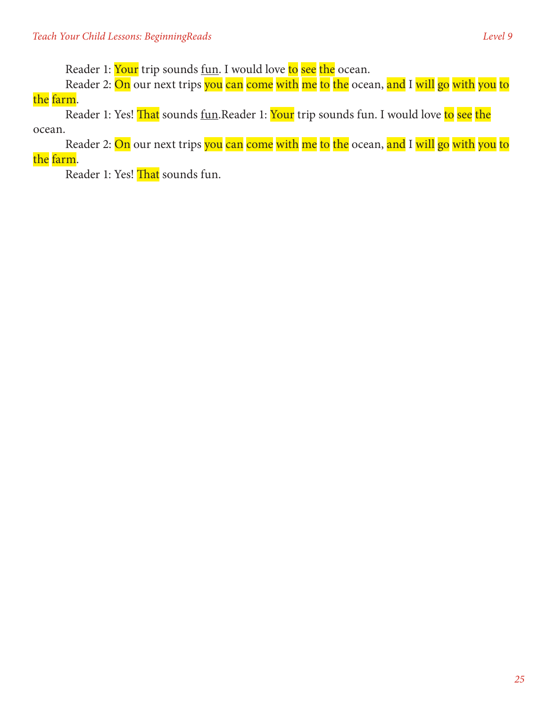Reader 1: Your trip sounds fun. I would love to see the ocean.

Reader 2: On our next trips you can come with me to the ocean, and I will go with you to the farm.

Reader 1: Yes! That sounds fun.Reader 1: Your trip sounds fun. I would love to see the ocean.

Reader 2: <mark>On</mark> our next trips <mark>you can come with me to the</mark> ocean, <mark>and I will go with you to</mark> the farm.

Reader 1: Yes! That sounds fun.